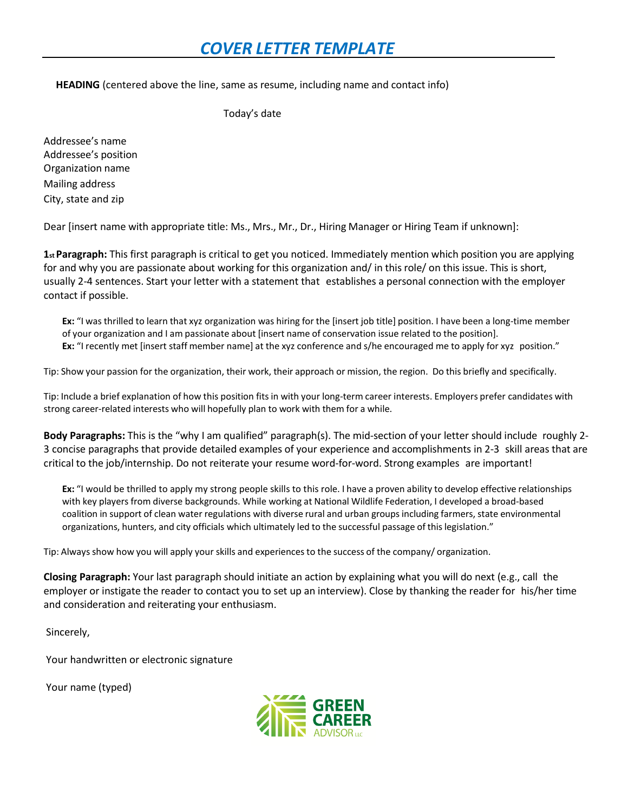**HEADING** (centered above the line, same as resume, including name and contact info)

Today's date

Addressee's name Addressee's position Organization name Mailing address City, state and zip

Dear [insert name with appropriate title: Ms., Mrs., Mr., Dr., Hiring Manager or Hiring Team if unknown]:

**1stParagraph:** This first paragraph is critical to get you noticed. Immediately mention which position you are applying for and why you are passionate about working for this organization and/ in this role/ on this issue. This is short, usually 2-4 sentences. Start your letter with a statement that establishes a personal connection with the employer contact if possible.

**Ex:** "I was thrilled to learn that xyz organization was hiring for the [insert job title] position. I have been a long-time member of your organization and I am passionate about [insert name of conservation issue related to the position]. **Ex:** "I recently met [insert staff member name] at the xyz conference and s/he encouraged me to apply for xyz position."

Tip: Show your passion for the organization, their work, their approach or mission, the region. Do this briefly and specifically.

Tip: Include a brief explanation of how this position fitsin with your long-term career interests. Employers prefer candidates with strong career-related interests who will hopefully plan to work with them for a while.

**Body Paragraphs:** This is the "why I am qualified" paragraph(s). The mid-section of your letter should include roughly 2- 3 concise paragraphs that provide detailed examples of your experience and accomplishments in 2-3 skill areas that are critical to the job/internship. Do not reiterate your resume word-for-word. Strong examples are important!

**Ex:** "I would be thrilled to apply my strong people skills to this role. I have a proven ability to develop effective relationships with key players from diverse backgrounds. While working at National Wildlife Federation, I developed a broad-based coalition in support of clean water regulations with diverse rural and urban groupsincluding farmers, state environmental organizations, hunters, and city officials which ultimately led to the successful passage of thislegislation."

Tip: Alwaysshow how you will apply your skills and experiences to the success of the company/ organization.

**Closing Paragraph:** Your last paragraph should initiate an action by explaining what you will do next (e.g., call the employer or instigate the reader to contact you to set up an interview). Close by thanking the reader for his/her time and consideration and reiterating your enthusiasm.

Sincerely,

Your handwritten or electronic signature

Your name (typed)